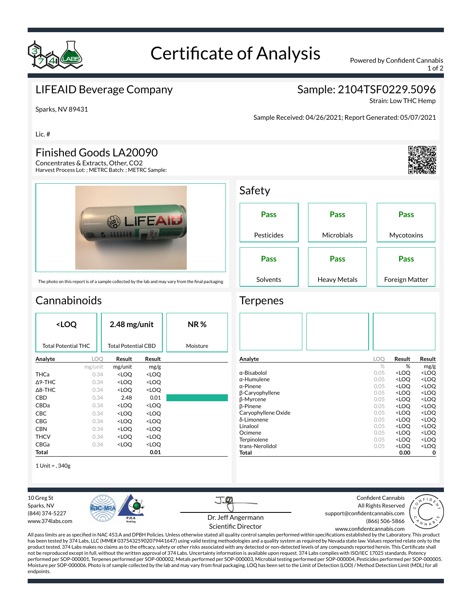

# Certificate of Analysis Powered by Confident Cannabis

1 of 2

#### LIFEAID Beverage Company

### Sample: 2104TSF0229.5096

Strain: Low THC Hemp

Sparks, NV 89431

Lic. #

#### Finished Goods LA20090

Concentrates & Extracts, Other, CO2 Harvest Process Lot: ; METRC Batch: ; METRC Sample:



The photo on this report is of a sample collected by the lab and may vary from the final packaging

## **Cannabinoids**

| <loq< th=""><th></th><th colspan="2">2.48 mg/unit</th><th><b>NR%</b></th></loq<> |         | 2.48 mg/unit                                             |                              | <b>NR%</b> |
|----------------------------------------------------------------------------------|---------|----------------------------------------------------------|------------------------------|------------|
| <b>Total Potential THC</b>                                                       |         | Total Potential CBD                                      |                              | Moisture   |
| Analyte                                                                          | LOO     | Result                                                   | Result                       |            |
|                                                                                  | mg/unit | mg/unit                                                  | mg/g                         |            |
| THCa                                                                             | 0.34    | <loq< th=""><th><loq< th=""><th></th></loq<></th></loq<> | <loq< th=""><th></th></loq<> |            |
| $\triangle$ 9-THC                                                                | 0.34    | <loq< th=""><th><loq< th=""><th></th></loq<></th></loq<> | <loq< th=""><th></th></loq<> |            |
| $\Delta$ 8-THC                                                                   | 0.34    | <loo< th=""><th><loo< th=""><th></th></loo<></th></loo<> | <loo< th=""><th></th></loo<> |            |
| CBD                                                                              | 0.34    | 2.48                                                     | 0.01                         |            |
| <b>CBDa</b>                                                                      | 0.34    | <loo< th=""><th><loq< th=""><th></th></loq<></th></loo<> | <loq< th=""><th></th></loq<> |            |
| CBC                                                                              | 0.34    | <loq< th=""><th><loq< th=""><th></th></loq<></th></loq<> | <loq< th=""><th></th></loq<> |            |
| CBG                                                                              | 0.34    | <loq< th=""><th><loq< th=""><th></th></loq<></th></loq<> | <loq< th=""><th></th></loq<> |            |
| CBN                                                                              | 0.34    | <loo< th=""><th><loq< th=""><th></th></loq<></th></loo<> | <loq< th=""><th></th></loq<> |            |
| <b>THCV</b>                                                                      | 0.34    | <loo< th=""><th><loq< th=""><th></th></loq<></th></loo<> | <loq< th=""><th></th></loq<> |            |
| CBGa                                                                             | 0.34    | <loq< th=""><th><loq< th=""><th></th></loq<></th></loq<> | <loq< th=""><th></th></loq<> |            |
| Total                                                                            |         |                                                          | 0.01                         |            |

1 Unit = , 340g

**PIC-MI** 

10 Greg St Sparks, NV (844) 374-5227 www.374labs.com

Sample Received: 04/26/2021; Report Generated: 05/07/2021



| Juicty      |                     |                |
|-------------|---------------------|----------------|
| Pass        | Pass                | Pass           |
| Pesticides  | Microbials          | Mycotoxins     |
| <b>Pass</b> | Pass                | Pass           |
| Solvents    | <b>Heavy Metals</b> | Foreign Matter |

#### **Terpenes**

Safaty

| Analyte             | LOO           | Result                                          | Result              |
|---------------------|---------------|-------------------------------------------------|---------------------|
|                     | $\frac{0}{2}$ | %                                               | mg/g                |
| α-Bisabolol         | 0.05          | <loq< td=""><td><loq< td=""></loq<></td></loq<> | <loq< td=""></loq<> |
| $\alpha$ -Humulene  | 0.05          | <loo< td=""><td><loq< td=""></loq<></td></loo<> | <loq< td=""></loq<> |
| $\alpha$ -Pinene    | 0.05          | <loq< td=""><td><loq< td=""></loq<></td></loq<> | <loq< td=""></loq<> |
| β-Caryophyllene     | 0.05          | <loo< td=""><td><loq< td=""></loq<></td></loo<> | <loq< td=""></loq<> |
| β-Myrcene           | 0.05          | <loq< td=""><td><loq< td=""></loq<></td></loq<> | <loq< td=""></loq<> |
| <b>B-Pinene</b>     | 0.05          | <loo< td=""><td><loo< td=""></loo<></td></loo<> | <loo< td=""></loo<> |
| Caryophyllene Oxide | 0.05          | <loq< td=""><td><loq< td=""></loq<></td></loq<> | <loq< td=""></loq<> |
| δ-Limonene          | 0.05          | <loq< td=""><td><loq< td=""></loq<></td></loq<> | <loq< td=""></loq<> |
| Linalool            | 0.05          | <loo< td=""><td><loq< td=""></loq<></td></loo<> | <loq< td=""></loq<> |
| Ocimene             | 0.05          | <loq< td=""><td><loq< td=""></loq<></td></loq<> | <loq< td=""></loq<> |
| Terpinolene         | 0.05          | <loq< td=""><td><loq< td=""></loq<></td></loq<> | <loq< td=""></loq<> |
| trans-Nerolidol     | 0.05          | <loq< td=""><td><loq< td=""></loq<></td></loq<> | <loq< td=""></loq<> |
| Total               |               | 0.00                                            | 0                   |

Confident Cannabis All Rights Reserved support@confidentcannabis.com (866) 506-5866



All pass limits are as specified in NAC 453.A and DPBH Policies. Unless otherwise stated all quality control samples performed within specifications established by the Laboratory. This product has been tested by 374 Labs, LLC (MME# 03754325902079441647) using valid testing methodologies and a quality system as required by Nevada state law. Values reported relate only to the product tested. 374 Labs makes no claims as to the efficacy, safety or other risks associated with any detected or non-detected levels of any compounds reported herein. This Certificate shall not be reproduced except in full, without the written approval of 374 Labs. Uncertainty information is available upon request. 374 Labs complies with ISO/IEC 17025 standards. Potency performed per SOP-000001, Terpenes performed per SOP-000002, Metals performed per SOP-000003, Microbial testing performed per SOP-000004, Pesticides performed per SOP-000005. Moisture per SOP-000006. Photo is of sample collected by the lab and may vary from nal packaging. LOQ has been set to the Limit of Detection (LOD) / Method Detection Limit (MDL) for all endpoints. www.confidentcannabis.com

Dr. Jeff Angermann Scientific Director

T